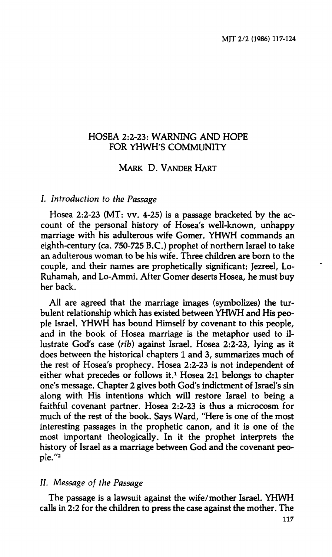# **HOSEA 2:2-23: WARNING AND HOPE FOR YHWH'S COMMUNITY**

# **MARK D. VANDER HART**

### **/.** *Introduction to the Passage*

**Hosea 2:2-23 (MT: vv. 4-25) is a passage bracketed by the account of the personal history of Hosea's well-known, unhappy marriage with his adulterous wife Gomer. YHWH commands an eighth-century (ca. 750-725 B.C.) prophet of northern Israel to take an adulterous woman to be his wife. Three children are born to the couple, and their names are prophetically significant: Jezreel, Lo-Ruhamah, and Lo-Ammi. After Gomer deserts Hosea, he must buy her back.** 

**All are agreed that the marriage images (symbolizes) the turbulent relationship which has existed between YHWH and His people Israel. YHWH has bound Himself by covenant to this people, and in the book of Hosea marriage is the metaphor used to illustrate God's case** *(rib)* **against Israel. Hosea 2:2-23, lying as it does between the historical chapters 1 and 3, summarizes much of the rest of Hosea's prophecy. Hosea 2:2-23 is not independent of either what precedes or follows it.<sup>1</sup> Hosea 2:1 belongs to chapter one's message. Chapter 2 gives both God's indictment of Israel's sin along with His intentions which will restore Israel to being a faithful covenant partner. Hosea 2:2-23 is thus a microcosm for much of the rest of the book. Says Ward, "Here is one of the most interesting passages in the prophetic canon, and it is one of the most important theologically. In it the prophet interprets the history of Israel as a marriage between God and the covenant people."<sup>2</sup>**

### **//.** *Message of the Passage*

**The passage is a lawsuit against the wife/mother Israel. YHWH calls in 2:2 for the children to press the case against the mother. The**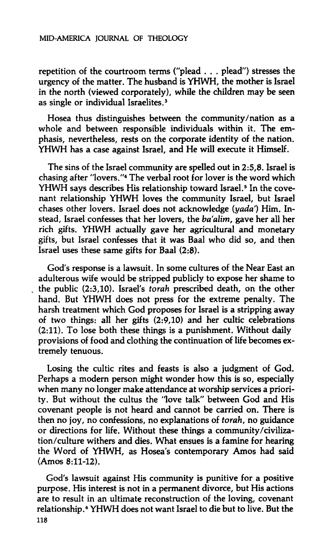**repetition of the courtroom terms ("plead . . . plead") stresses the urgency of the matter. The husband is YHWH, the mother is Israel in the north (viewed corporately), while the children may be seen as single or individual Israelites.<sup>3</sup>**

**Hosea thus distinguishes between the community/nation as a whole and between responsible individuals within it. The emphasis, nevertheless, rests on the corporate identity of the nation. YHWH has a case against Israel, and He will execute it Himself.** 

**The sins of the Israel community are spelled out in 2:5,8. Israel is chasing after "lovers."<sup>4</sup> The verbal root for lover is the word which YHWH says describes His relationship toward Israel.<sup>5</sup> In the covenant relationship YHWH loves the community Israel, but Israel chases other lovers. Israel does not acknowledge** *(yada)* **Him. Instead, Israel confesses that her lovers, the** *ba'alim,* **gave her all her rich gifts. YHWH actually gave her agricultural and monetary gifts, but Israel confesses that it was Baal who did so, and then Israel uses these same gifts for Baal (2:8).** 

**God's response is a lawsuit. In some cultures of the Near East an adulterous wife would be stripped publicly to expose her shame to the public (2:3,10). Israel's** *torah* **prescribed death, on the other hand. But YHWH does not press for the extreme penalty. The harsh treatment which God proposes for Israel is a stripping away of two things: all her gifts (2:9,10) and her cultic celebrations (2:11). To lose both these things is a punishment. Without daily provisions of food and clothing the continuation of life becomes extremely tenuous.** 

**Losing the cultic rites and feasts is also a judgment of God. Perhaps a modern person might wonder how this is so, especially when many no longer make attendance at worship services a priority. But without the cultus the "love talk" between God and His covenant people is not heard and cannot be carried on. There is then no joy, no confessions, no explanations of** *torah,* **no guidance or directions for life. Without these things a community/civilization/culture withers and dies. What ensues is a famine for hearing the Word of YHWH, as Hosea's contemporary Amos had said (Amos 8:11-12).** 

**God's lawsuit against His community is punitive for a positive purpose. His interest is not in a permanent divorce, but His actions are to result in an ultimate reconstruction of the loving, covenant relationship.<sup>6</sup> YHWH does not want Israel to die but to live. But the 118**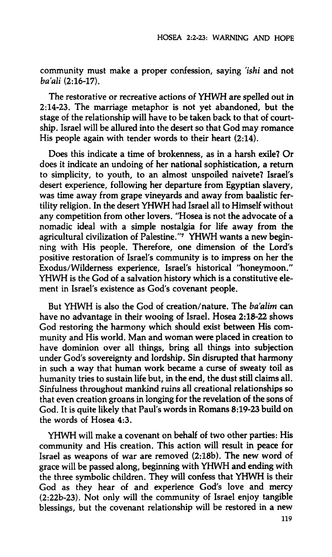**community must make a proper confession, saying** *'ishi* **and not**  *ba'ali* (2:16-17).

**The restorative or recreative actions of YHWH are spelled out in 2:14-23. The marriage metaphor is not yet abandoned, but the stage of the relationship will have to be taken back to that of courtship. Israel will be allured into the desert so that God may romance His people again with tender words to their heart (2:14).** 

**Does this indicate a time of brokenness, as in a harsh exile? Or does it indicate an undoing of her national sophistication, a return to simplicity, to youth, to an almost unspoiled naivete? Israel's desert experience, following her departure from Egyptian slavery, was time away from grape vineyards and away from baalistic fertility religion. In the desert YHWH had Israel all to Himself without any competition from other lovers. "Hosea is not the advocate of a nomadic ideal with a simple nostalgia for life away from the agricultural civilization of Palestine."<sup>7</sup> YHWH wants a new beginning with His people. Therefore, one dimension of the Lord's positive restoration of Israel's community is to impress on her the Exodus/Wilderness experience, Israel's historical "honeymoon." YHWH is the God of a salvation history which is a constitutive element in Israel's existence as God's covenant people.** 

**But YHWH is also the God of creation/nature. The** *ba'alim* **can have no advantage in their wooing of Israel. Hosea 2:18-22 shows God restoring the harmony which should exist between His community and His world. Man and woman were placed in creation to have dominion over all things, bring all things into subjection under God's sovereignty and lordship. Sin disrupted that harmony in such a way that human work became a curse of sweaty toil as humanity tries to sustain life but, in the end, the dust still claims all. Sinfulness throughout mankind ruins all creational relationships so that even creation groans in longing for the revelation of the sons of God. It is quite likely that Paul's words in Romans 8:19-23 build on the words of Hosea 4:3.** 

**YHWH will make a covenant on behalf of two other parties: His community and His creation. This action will result in peace for Israel as weapons of war are removed (2:18b). The new word of grace will be passed along, beginning with YHWH and ending with the three symbolic children. They will confess that YHWH is their God as they hear of and experience God's love and mercy (2:22b-23). Not only will the community of Israel enjoy tangible blessings, but the covenant relationship will be restored in a new**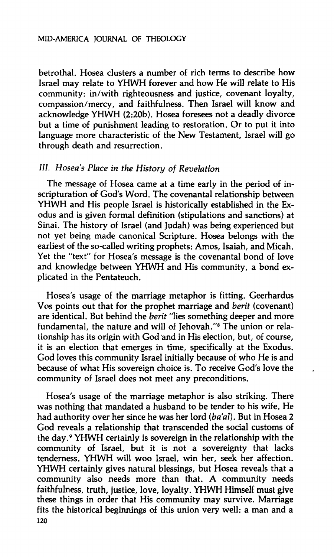#### **MID-AMERICA JOURNAL OF THEOLOGY**

**betrothal. Hosea clusters a number of rich terms to describe how Israel may relate to YHWH forever and how He will relate to His community: in/with righteousness and justice, covenant loyalty, compassion/mercy, and faithfulness. Then Israel will know and acknowledge YHWH (2:20b). Hosea foresees not a deadly divorce but a time of punishment leading to restoration. Or to put it into language more characteristic of the New Testament, Israel will go through death and resurrection.** 

## *III. Hosea s Place in the History of Revelation*

**The message of Hosea came at a time early in the period of inscripturation of God's Word. The covenantal relationship between YHWH and His people Israel is historically established in the Exodus and is given formal definition (stipulations and sanctions) at Sinai. The history of Israel (and Judah) was being experienced but not yet being made canonical Scripture. Hosea belongs with the earliest of the so-called writing prophets: Amos, Isaiah, and Micah. Yet the "text" for Hosea's message is the covenantal bond of love and knowledge between YHWH and His community, a bond explicated in the Pentateuch.** 

**Hosea's usage of the marriage metaphor is fitting. Geerhardus Vos points out that for the prophet marriage and** *berit* **(covenant) are identical. But behind the** *berit* **"lies something deeper and more fundamental, the nature and will of Jehovah."<sup>8</sup> The union or relationship has its origin with God and in His election, but, of course, it is an election that emerges in time, specifically at the Exodus. God loves this community Israel initially because of who He is and because of what His sovereign choice is. To receive God's love the community of Israel does not meet any preconditions.** 

**Hosea's usage of the marriage metaphor is also striking. There was nothing that mandated a husband to be tender to his wife. He**  had authority over her since he was her lord *(ba'al)*. But in Hosea 2 **God reveals a relationship that transcended the social customs of the day.<sup>9</sup> YHWH certainly is sovereign in the relationship with the community of Israel, but it is not a sovereignty that lacks tenderness. YHWH will woo Israel, win her, seek her affection. YHWH certainly gives natural blessings, but Hosea reveals that a community also needs more than that. A community needs faithfulness, truth, justice, love, loyalty. YHWH Himself must give these things in order that His community may survive. Marriage fits the historical beginnings of this union very well: a man and a 120**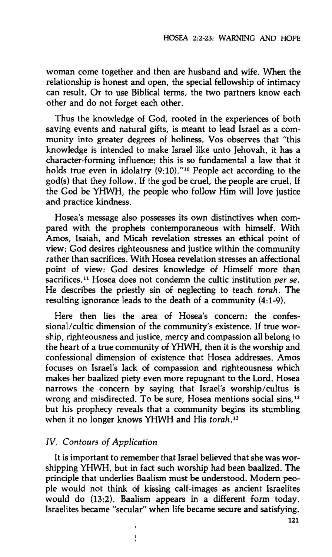**woman come together and then are husband and wife. When the relationship is honest and open, the special fellowship of intimacy can result. Or to use Biblical terms, the two partners know each other and do not forget each other.** 

**Thus the knowledge of God, rooted in the experiences of both saving events and natural gifts, is meant to lead Israel as a community into greater degrees of holiness. Vos observes that "this knowledge is intended to make Israel like unto Jehovah, it has a character-forming influence; this is so fundamental a law that it holds true even in idolatry (9:10)."<sup>10</sup> People act according to the god(s) that they follow. If the god be cruel, the people are cruel. If the God be YHWH, the people who follow Him will love justice and practice kindness.** 

**Hosea's message also possesses its own distinctives when compared with the prophets contemporaneous with himself. With Amos, Isaiah, and Micah revelation stresses an ethical point of view: God desires righteousness and justice within the community rather than sacrifices. With Hosea revelation stresses an affectional point of view: God desires knowledge of Himself more than sacrifices.<sup>11</sup> Hosea does not condemn the cultic institution** *per se.*  **He describes the priestly sin of neglecting to teach** *torah.* **The resulting ignorance leads to the death of a community (4:1-9).** 

**Here then lies the area of Hosea's concern: the confessional/cultic dimension of the community's existence. If true worship, righteousness and justice, mercy and compassion all belong to the heart of a true community of YHWH, then it is the worship and confessional dimension of existence that Hosea addresses. Amos focuses on Israel's lack of compassion and righteousness which makes her baalized piety even more repugnant to the Lord. Hosea narrows the concern by saying that Israel's worship/cultus is wrong and misdirected. To be sure, Hosea mentions social sins,<sup>12</sup> but his prophecy reveals that a community begins its stumbling when it no longer knows YHWH and His** *torah.<sup>13</sup>*

# *IV. Contours of Application*

**It is important to remember that Israel believed that she was worshipping YHWH, but in fact such worship had been baalized. The principle that underlies Baalism must be understood. Modern people would not think of kissing calf-images as ancient Israelites would do (13:2). Baalism appears in a different form today. Israelites became "secular" when life became secure and satisfying.**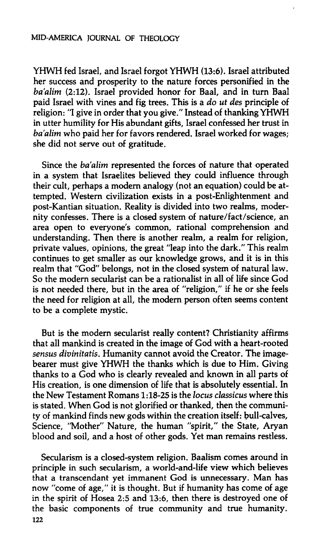### **MID-AMERICA JOURNAL OF THEOLOGY**

**YHWH fed Israel, and Israel forgot YHWH (13:6). Israel attributed her success and prosperity to the nature forces personified in the**  ba'alim (2:12). Israel provided honor for Baal, and in turn Baal **paid Israel with vines and fig trees. This is a** *do ut des* **principle of religion: "I give in order that you give." Instead of thanking YHWH in utter humility for His abundant gifts, Israel confessed her trust in**  ba'alim who paid her for favors rendered. Israel worked for wages; **she did not serve out of gratitude.** 

Since the *ba'alim* represented the forces of nature that operated **in a system that Israelites believed they could influence through their cult, perhaps a modern analogy (not an equation) could be attempted. Western civilization exists in a post-Enlightenment and post-Kantian situation. Reality is divided into two realms, modernity confesses. There is a closed system of nature/fact/science, an area open to everyone's common, rational comprehension and understanding. Then there is another realm, a realm for religion, private values, opinions, the great "leap into the dark." This realm continues to get smaller as our knowledge grows, and it is in this realm that "God" belongs, not in the closed system of natural law. So the modern secularist can be a rationalist in all of life since God is not needed there, but in the area of "religion," if he or she feels the need for religion at all, the modern person often seems content to be a complete mystic.** 

**But is the modern secularist really content? Christianity affirms that all mankind is created in the image of God with a heart-rooted**  *sensus divinitatis.* **Humanity cannot avoid the Creator. The imagebearer must give YHWH the thanks which is due to Him. Giving thanks to a God who is clearly revealed and known in all parts of His creation, is one dimension of life that is absolutely essential. In the New Testament Romans 1:18-25 is the** *locus classicus* **where this is stated. When God is not glorified or thanked, then the community of mankind finds new gods within the creation itself: bull-calves. Science, "Mother" Nature, the human "spirit," the State, Aryan blood and soil, and a host of other gods. Yet man remains restless.** 

**Secularism is a closed-system religion. Baalism comes around in principle in such secularism, a world-and-life view which believes that a transcendant yet immanent God is unnecessary. Man has now "come of age," it is thought. But if humanity has come of age in the spirit of Hosea 2:5 and 13:6, then there is destroyed one of the basic components of true community and true humanity. 122**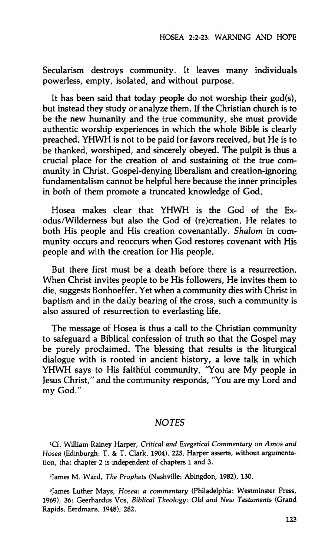**Secularism destroys community. It leaves many individuals powerless, empty, isolated, and without purpose.** 

**It has been said that today people do not worship their god(s), but instead they study or analyze them. If the Christian church is to be the new humanity and the true community, she must provide authentic worship experiences in which the whole Bible is clearly preached. YHWH is not to be paid for favors received, but He is to be thanked, worshiped, and sincerely obeyed. The pulpit is thus a crucial place for the creation of and sustaining of the true community in Christ. Gospel-denying liberalism and creation-ignoring fundamentalism cannot be helpful here because the inner principles in both of them promote a truncated knowledge of God.** 

**Hosea makes clear that YHWH is the God of the Exodus/Wilderness but also the God of (re)creation. He relates to both His people and His creation covenantally.** *Shalom* **in community occurs and reoccurs when God restores covenant with His people and with the creation for His people.** 

**But there first must be a death before there is a resurrection. When Christ invites people to be His followers. He invites them to die, suggests Bonhoeffer. Yet when a community dies with Christ in baptism and in the daily bearing of the cross, such a community is also assured of resurrection to everlasting life.** 

**The message of Hosea is thus a call to the Christian community to safeguard a Biblical confession of truth so that the Gospel may be purely proclaimed. The blessing that results is the liturgical dialogue with is rooted in ancient history, a love talk in which YHWH says to His faithful community, "You are My people in Jesus Christ," and the community responds, "You are my Lord and my God."** 

#### *NOTES*

**\*Cf. William Rainey Harper,** *Critical and Exegetical Commentary on Amos and Hosea* **(Edinburgh: T. & T. Clark, 1904), 225. Harper asserts, without argumentation, that chapter 2 is independent of chapters 1 and 3.** 

**2 James M. Ward,** *The Prophets* **(Nashville: Abingdon, 1982), 130.** 

**<sup>3</sup> James Luther Mays,** *Hosea: a commentary* **(Philadelphia: Westminster Press, 1969), 36; Geerhardus Vos,** *Biblical Theology: Old and New Testaments* **(Grand Rapids: Eerdmans, 1948), 282.**